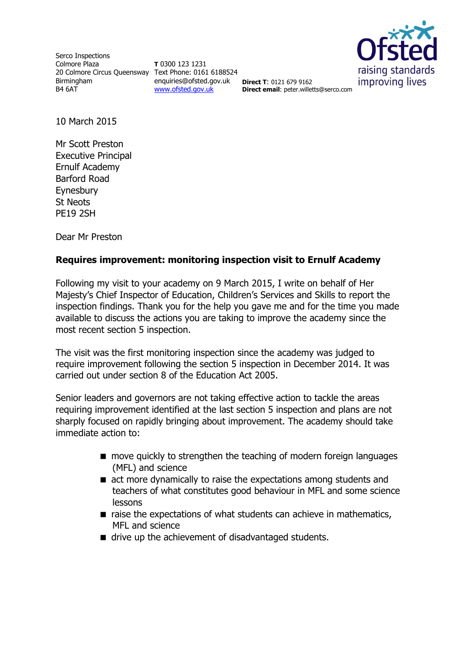Serco Inspections Colmore Plaza 20 Colmore Circus Queensway Text Phone: 0161 6188524 Birmingham B4 6AT

**T** 0300 123 1231 enquiries@ofsted.gov.uk **Direct T**: 0121 679 9162 [www.ofsted.gov.uk](http://www.ofsted.gov.uk/)



**Direct email**: peter.willetts@serco.com

10 March 2015

Mr Scott Preston Executive Principal Ernulf Academy Barford Road Eynesbury St Neots PE19 2SH

Dear Mr Preston

## **Requires improvement: monitoring inspection visit to Ernulf Academy**

Following my visit to your academy on 9 March 2015, I write on behalf of Her Majesty's Chief Inspector of Education, Children's Services and Skills to report the inspection findings. Thank you for the help you gave me and for the time you made available to discuss the actions you are taking to improve the academy since the most recent section 5 inspection.

The visit was the first monitoring inspection since the academy was judged to require improvement following the section 5 inspection in December 2014. It was carried out under section 8 of the Education Act 2005.

Senior leaders and governors are not taking effective action to tackle the areas requiring improvement identified at the last section 5 inspection and plans are not sharply focused on rapidly bringing about improvement. The academy should take immediate action to:

- **n** move quickly to strengthen the teaching of modern foreign languages (MFL) and science
- act more dynamically to raise the expectations among students and teachers of what constitutes good behaviour in MFL and some science lessons
- $\blacksquare$  raise the expectations of what students can achieve in mathematics, MFL and science
- $\blacksquare$  drive up the achievement of disadvantaged students.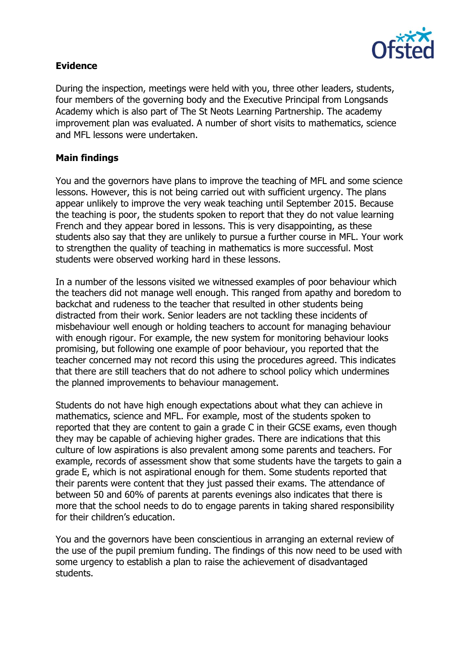

## **Evidence**

During the inspection, meetings were held with you, three other leaders, students, four members of the governing body and the Executive Principal from Longsands Academy which is also part of The St Neots Learning Partnership. The academy improvement plan was evaluated. A number of short visits to mathematics, science and MFL lessons were undertaken.

## **Main findings**

You and the governors have plans to improve the teaching of MFL and some science lessons. However, this is not being carried out with sufficient urgency. The plans appear unlikely to improve the very weak teaching until September 2015. Because the teaching is poor, the students spoken to report that they do not value learning French and they appear bored in lessons. This is very disappointing, as these students also say that they are unlikely to pursue a further course in MFL. Your work to strengthen the quality of teaching in mathematics is more successful. Most students were observed working hard in these lessons.

In a number of the lessons visited we witnessed examples of poor behaviour which the teachers did not manage well enough. This ranged from apathy and boredom to backchat and rudeness to the teacher that resulted in other students being distracted from their work. Senior leaders are not tackling these incidents of misbehaviour well enough or holding teachers to account for managing behaviour with enough rigour. For example, the new system for monitoring behaviour looks promising, but following one example of poor behaviour, you reported that the teacher concerned may not record this using the procedures agreed. This indicates that there are still teachers that do not adhere to school policy which undermines the planned improvements to behaviour management.

Students do not have high enough expectations about what they can achieve in mathematics, science and MFL. For example, most of the students spoken to reported that they are content to gain a grade C in their GCSE exams, even though they may be capable of achieving higher grades. There are indications that this culture of low aspirations is also prevalent among some parents and teachers. For example, records of assessment show that some students have the targets to gain a grade E, which is not aspirational enough for them. Some students reported that their parents were content that they just passed their exams. The attendance of between 50 and 60% of parents at parents evenings also indicates that there is more that the school needs to do to engage parents in taking shared responsibility for their children's education.

You and the governors have been conscientious in arranging an external review of the use of the pupil premium funding. The findings of this now need to be used with some urgency to establish a plan to raise the achievement of disadvantaged students.